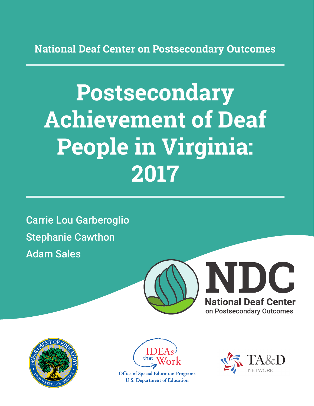**National Deaf Center on Postsecondary Outcomes**

# **Postsecondary Achievement of Deaf People in Virginia: 2017**

Carrie Lou Garberoglio Stephanie Cawthon Adam Sales







**Office of Special Education Programs U.S. Department of Education** 

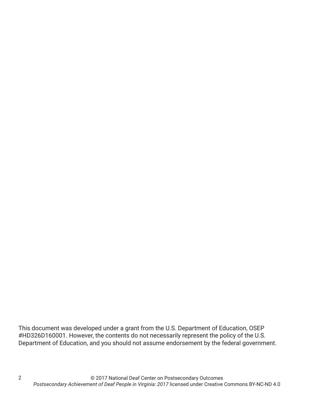This document was developed under a grant from the U.S. Department of Education, OSEP #HD326D160001. However, the contents do not necessarily represent the policy of the U.S. Department of Education, and you should not assume endorsement by the federal government.

2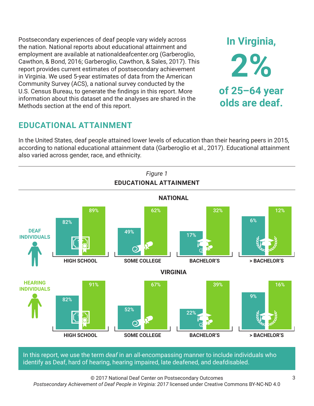Postsecondary experiences of deaf people vary widely across the nation. National reports about educational attainment and employment are available at nationaldeafcenter.org (Garberoglio, Cawthon, & Bond, 2016; Garberoglio, Cawthon, & Sales, 2017). This report provides current estimates of postsecondary achievement in Virginia. We used 5-year estimates of data from the American Community Survey (ACS), a national survey conducted by the U.S. Census Bureau, to generate the findings in this report. More information about this dataset and the analyses are shared in the Methods section at the end of this report.

## **EDUCATIONAL ATTAINMENT**

In the United States, deaf people attained lower levels of education than their hearing peers in 2015, according to national educational attainment data (Garberoglio et al., 2017). Educational attainment also varied across gender, race, and ethnicity.



In this report, we use the term *deaf* in an all-encompassing manner to include individuals who identify as Deaf, hard of hearing, hearing impaired, late deafened, and deafdisabled.

© 2017 National Deaf Center on Postsecondary Outcomes *Postsecondary Achievement of Deaf People in Virginia: 2017* licensed under Creative Commons BY-NC-ND 4.0

**In Virginia,**

**2%**

**of 25–64 year**

**olds are deaf.**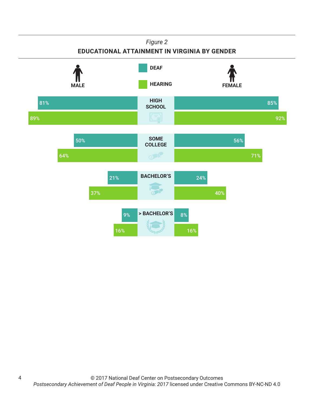#### *Figure 2*

### **EDUCATIONAL ATTAINMENT IN VIRGINIA BY GENDER**



4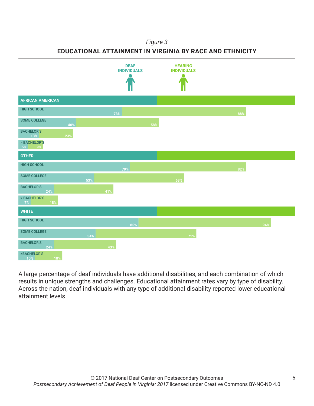#### *Figure 3*

**EDUCATIONAL ATTAINMENT IN VIRGINIA BY RACE AND ETHNICITY**



A large percentage of deaf individuals have additional disabilities, and each combination of which results in unique strengths and challenges. Educational attainment rates vary by type of disability. Across the nation, deaf individuals with any type of additional disability reported lower educational attainment levels.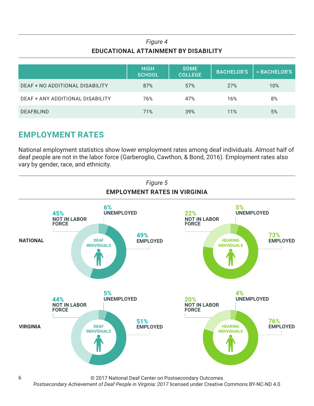## *Figure 4* **EDUCATIONAL ATTAINMENT BY DISABILITY**

|                                  | <b>HIGH</b><br><b>SCHOOL</b> | <b>SOME</b><br><b>COLLEGE</b> | <b>BACHELOR'S</b> | > BACHELOR'S |
|----------------------------------|------------------------------|-------------------------------|-------------------|--------------|
| DEAF + NO ADDITIONAL DISABILITY  | 87%                          | 57%                           | 27%               | 10%          |
| DEAF + ANY ADDITIONAL DISABILITY | 76%                          | 47%                           | 16%               | 8%           |
| <b>DEAFBLIND</b>                 | 71%                          | 39%                           | 11%               | 5%           |

## **EMPLOYMENT RATES**

National employment statistics show lower employment rates among deaf individuals. Almost half of deaf people are not in the labor force (Garberoglio, Cawthon, & Bond, 2016). Employment rates also vary by gender, race, and ethnicity.



© 2017 National Deaf Center on Postsecondary Outcomes

*Postsecondary Achievement of Deaf People in Virginia: 2017* licensed under Creative Commons BY-NC-ND 4.0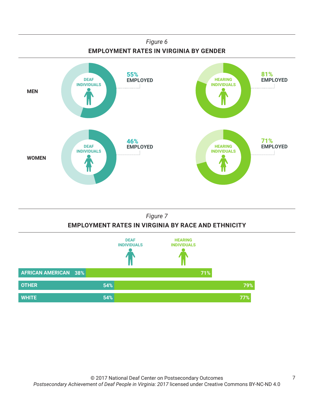



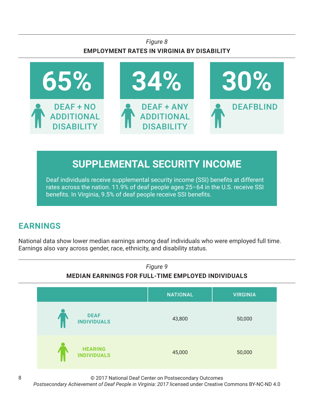## *Figure 8* **EMPLOYMENT RATES IN VIRGINIA BY DISABILITY**



# **SUPPLEMENTAL SECURITY INCOME**

Deaf individuals receive supplemental security income (SSI) benefits at different rates across the nation. 11.9% of deaf people ages 25–64 in the U.S. receive SSI benefits. In Virginia, 9.5% of deaf people receive SSI benefits.

# **EARNINGS**

National data show lower median earnings among deaf individuals who were employed full time. Earnings also vary across gender, race, ethnicity, and disability status.



© 2017 National Deaf Center on Postsecondary Outcomes

*Postsecondary Achievement of Deaf People in Virginia: 2017* licensed under Creative Commons BY-NC-ND 4.0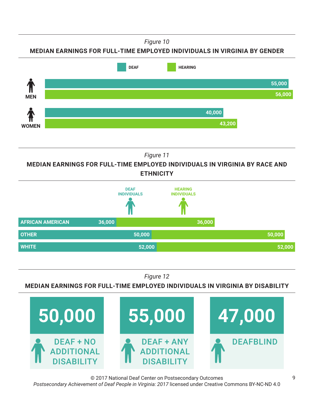*Figure 10*

**MEDIAN EARNINGS FOR FULL-TIME EMPLOYED INDIVIDUALS IN VIRGINIA BY GENDER**



*Figure 11*

**MEDIAN EARNINGS FOR FULL-TIME EMPLOYED INDIVIDUALS IN VIRGINIA BY RACE AND ETHNICITY**



*Figure 12*

**MEDIAN EARNINGS FOR FULL-TIME EMPLOYED INDIVIDUALS IN VIRGINIA BY DISABILITY**



© 2017 National Deaf Center on Postsecondary Outcomes *Postsecondary Achievement of Deaf People in Virginia: 2017* licensed under Creative Commons BY-NC-ND 4.0